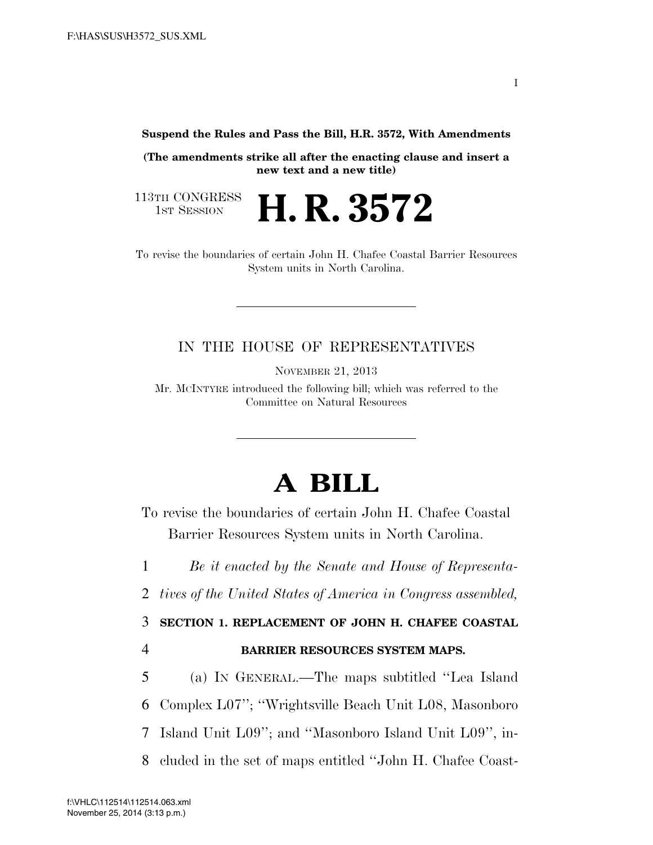**Suspend the Rules and Pass the Bill, H.R. 3572, With Amendments** 

**(The amendments strike all after the enacting clause and insert a new text and a new title)** 

113TH CONGRESS<br>1st Session

H. R. 3572

To revise the boundaries of certain John H. Chafee Coastal Barrier Resources System units in North Carolina.

#### IN THE HOUSE OF REPRESENTATIVES

NOVEMBER 21, 2013

Mr. MCINTYRE introduced the following bill; which was referred to the Committee on Natural Resources

## **A BILL**

To revise the boundaries of certain John H. Chafee Coastal Barrier Resources System units in North Carolina.

1 *Be it enacted by the Senate and House of Representa-*

2 *tives of the United States of America in Congress assembled,* 

3 **SECTION 1. REPLACEMENT OF JOHN H. CHAFEE COASTAL** 

4 **BARRIER RESOURCES SYSTEM MAPS.** 

5 (a) IN GENERAL.—The maps subtitled ''Lea Island

6 Complex L07''; ''Wrightsville Beach Unit L08, Masonboro

7 Island Unit L09''; and ''Masonboro Island Unit L09'', in-

8 cluded in the set of maps entitled ''John H. Chafee Coast-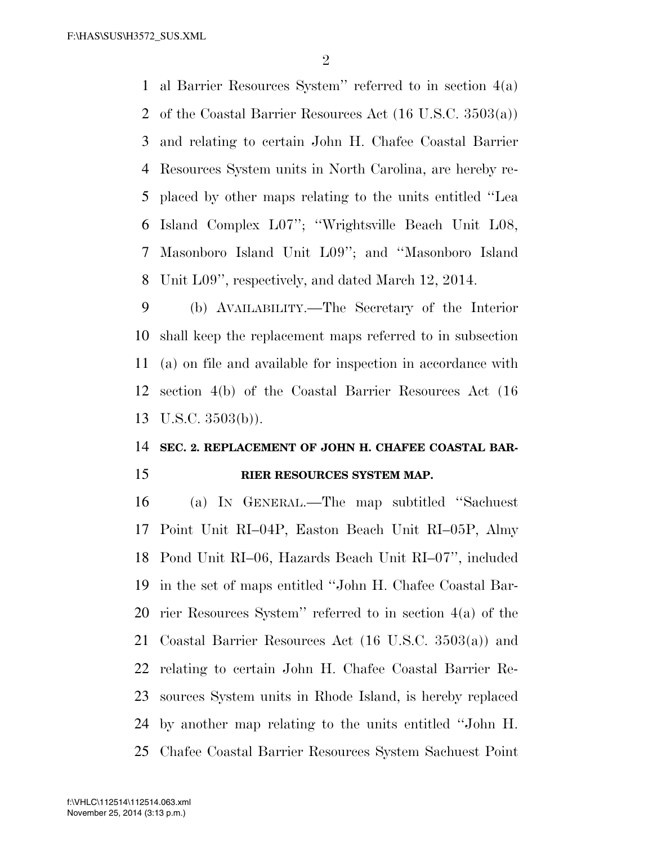al Barrier Resources System'' referred to in section 4(a) of the Coastal Barrier Resources Act (16 U.S.C. 3503(a)) and relating to certain John H. Chafee Coastal Barrier Resources System units in North Carolina, are hereby re- placed by other maps relating to the units entitled ''Lea Island Complex L07''; ''Wrightsville Beach Unit L08, Masonboro Island Unit L09''; and ''Masonboro Island Unit L09'', respectively, and dated March 12, 2014.

 (b) AVAILABILITY.—The Secretary of the Interior shall keep the replacement maps referred to in subsection (a) on file and available for inspection in accordance with section 4(b) of the Coastal Barrier Resources Act (16 U.S.C. 3503(b)).

# **SEC. 2. REPLACEMENT OF JOHN H. CHAFEE COASTAL BAR-**

#### **RIER RESOURCES SYSTEM MAP.**

 (a) IN GENERAL.—The map subtitled ''Sachuest Point Unit RI–04P, Easton Beach Unit RI–05P, Almy Pond Unit RI–06, Hazards Beach Unit RI–07'', included in the set of maps entitled ''John H. Chafee Coastal Bar- rier Resources System'' referred to in section 4(a) of the Coastal Barrier Resources Act (16 U.S.C. 3503(a)) and relating to certain John H. Chafee Coastal Barrier Re- sources System units in Rhode Island, is hereby replaced by another map relating to the units entitled ''John H. Chafee Coastal Barrier Resources System Sachuest Point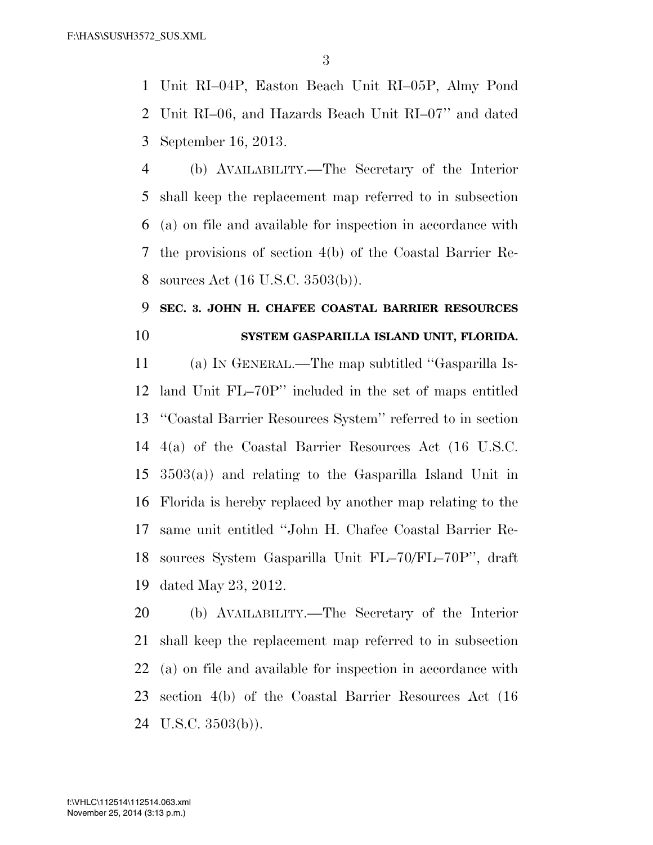Unit RI–04P, Easton Beach Unit RI–05P, Almy Pond Unit RI–06, and Hazards Beach Unit RI–07'' and dated September 16, 2013.

 (b) AVAILABILITY.—The Secretary of the Interior shall keep the replacement map referred to in subsection (a) on file and available for inspection in accordance with the provisions of section 4(b) of the Coastal Barrier Re-sources Act (16 U.S.C. 3503(b)).

### **SEC. 3. JOHN H. CHAFEE COASTAL BARRIER RESOURCES SYSTEM GASPARILLA ISLAND UNIT, FLORIDA.**

 (a) IN GENERAL.—The map subtitled ''Gasparilla Is- land Unit FL–70P'' included in the set of maps entitled ''Coastal Barrier Resources System'' referred to in section 4(a) of the Coastal Barrier Resources Act (16 U.S.C. 3503(a)) and relating to the Gasparilla Island Unit in Florida is hereby replaced by another map relating to the same unit entitled ''John H. Chafee Coastal Barrier Re- sources System Gasparilla Unit FL–70/FL–70P'', draft dated May 23, 2012.

 (b) AVAILABILITY.—The Secretary of the Interior shall keep the replacement map referred to in subsection (a) on file and available for inspection in accordance with section 4(b) of the Coastal Barrier Resources Act (16 U.S.C. 3503(b)).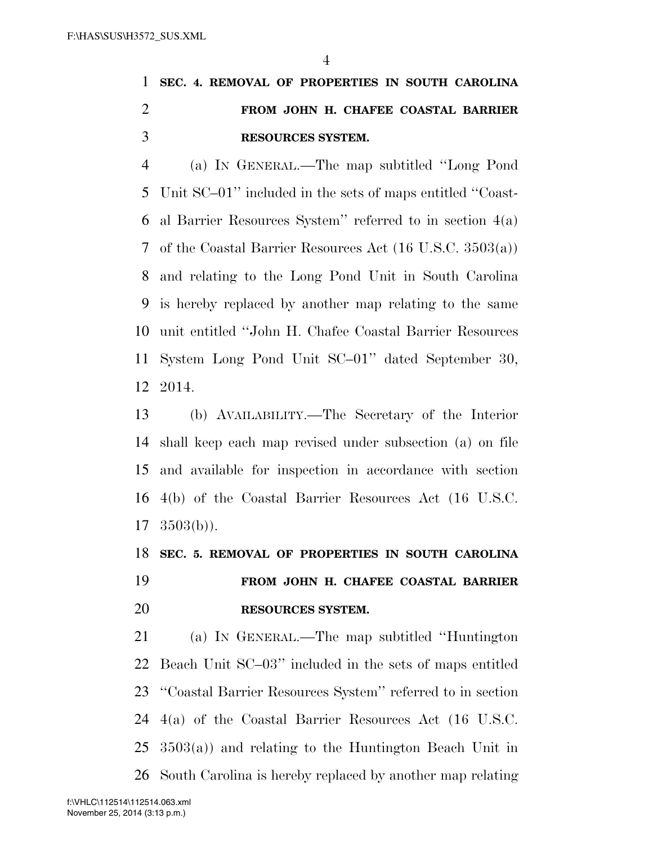## **SEC. 4. REMOVAL OF PROPERTIES IN SOUTH CAROLINA FROM JOHN H. CHAFEE COASTAL BARRIER RESOURCES SYSTEM.**

 (a) IN GENERAL.—The map subtitled ''Long Pond Unit SC–01'' included in the sets of maps entitled ''Coast- al Barrier Resources System'' referred to in section 4(a) of the Coastal Barrier Resources Act (16 U.S.C. 3503(a)) and relating to the Long Pond Unit in South Carolina is hereby replaced by another map relating to the same unit entitled ''John H. Chafee Coastal Barrier Resources System Long Pond Unit SC–01'' dated September 30, 2014.

 (b) AVAILABILITY.—The Secretary of the Interior shall keep each map revised under subsection (a) on file and available for inspection in accordance with section 4(b) of the Coastal Barrier Resources Act (16 U.S.C.  $17 \quad 3503(b)$ ).

### **SEC. 5. REMOVAL OF PROPERTIES IN SOUTH CAROLINA FROM JOHN H. CHAFEE COASTAL BARRIER RESOURCES SYSTEM.**

 (a) IN GENERAL.—The map subtitled ''Huntington Beach Unit SC–03'' included in the sets of maps entitled ''Coastal Barrier Resources System'' referred to in section 4(a) of the Coastal Barrier Resources Act (16 U.S.C. 3503(a)) and relating to the Huntington Beach Unit in South Carolina is hereby replaced by another map relating